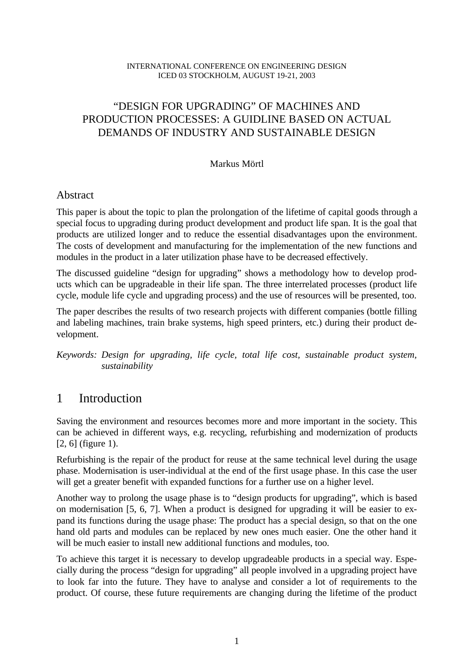#### INTERNATIONAL CONFERENCE ON ENGINEERING DESIGN ICED 03 STOCKHOLM, AUGUST 19-21, 2003

### "DESIGN FOR UPGRADING" OF MACHINES AND PRODUCTION PROCESSES: A GUIDLINE BASED ON ACTUAL DEMANDS OF INDUSTRY AND SUSTAINABLE DESIGN

#### Markus Mörtl

#### Abstract

This paper is about the topic to plan the prolongation of the lifetime of capital goods through a special focus to upgrading during product development and product life span. It is the goal that products are utilized longer and to reduce the essential disadvantages upon the environment. The costs of development and manufacturing for the implementation of the new functions and modules in the product in a later utilization phase have to be decreased effectively.

The discussed guideline "design for upgrading" shows a methodology how to develop products which can be upgradeable in their life span. The three interrelated processes (product life cycle, module life cycle and upgrading process) and the use of resources will be presented, too.

The paper describes the results of two research projects with different companies (bottle filling and labeling machines, train brake systems, high speed printers, etc.) during their product development.

*Keywords: Design for upgrading, life cycle, total life cost, sustainable product system, sustainability*

### 1 Introduction

Saving the environment and resources becomes more and more important in the society. This can be achieved in different ways, e.g. recycling, refurbishing and modernization of products [2, 6] (figure 1).

Refurbishing is the repair of the product for reuse at the same technical level during the usage phase. Modernisation is user-individual at the end of the first usage phase. In this case the user will get a greater benefit with expanded functions for a further use on a higher level.

Another way to prolong the usage phase is to "design products for upgrading", which is based on modernisation [5, 6, 7]. When a product is designed for upgrading it will be easier to expand its functions during the usage phase: The product has a special design, so that on the one hand old parts and modules can be replaced by new ones much easier. One the other hand it will be much easier to install new additional functions and modules, too.

To achieve this target it is necessary to develop upgradeable products in a special way. Especially during the process "design for upgrading" all people involved in a upgrading project have to look far into the future. They have to analyse and consider a lot of requirements to the product. Of course, these future requirements are changing during the lifetime of the product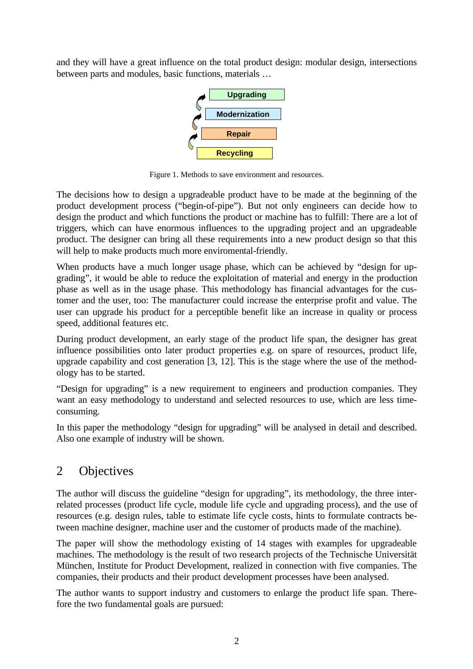and they will have a great influence on the total product design: modular design, intersections between parts and modules, basic functions, materials …



Figure 1. Methods to save environment and resources.

The decisions how to design a upgradeable product have to be made at the beginning of the product development process ("begin-of-pipe"). But not only engineers can decide how to design the product and which functions the product or machine has to fulfill: There are a lot of triggers, which can have enormous influences to the upgrading project and an upgradeable product. The designer can bring all these requirements into a new product design so that this will help to make products much more enviromental-friendly.

When products have a much longer usage phase, which can be achieved by "design for upgrading", it would be able to reduce the exploitation of material and energy in the production phase as well as in the usage phase. This methodology has financial advantages for the customer and the user, too: The manufacturer could increase the enterprise profit and value. The user can upgrade his product for a perceptible benefit like an increase in quality or process speed, additional features etc.

During product development, an early stage of the product life span, the designer has great influence possibilities onto later product properties e.g. on spare of resources, product life, upgrade capability and cost generation [3, 12]. This is the stage where the use of the methodology has to be started.

"Design for upgrading" is a new requirement to engineers and production companies. They want an easy methodology to understand and selected resources to use, which are less timeconsuming.

In this paper the methodology "design for upgrading" will be analysed in detail and described. Also one example of industry will be shown.

## 2 Objectives

The author will discuss the guideline "design for upgrading", its methodology, the three interrelated processes (product life cycle, module life cycle and upgrading process), and the use of resources (e.g. design rules, table to estimate life cycle costs, hints to formulate contracts between machine designer, machine user and the customer of products made of the machine).

The paper will show the methodology existing of 14 stages with examples for upgradeable machines. The methodology is the result of two research projects of the Technische Universität München, Institute for Product Development, realized in connection with five companies. The companies, their products and their product development processes have been analysed.

The author wants to support industry and customers to enlarge the product life span. Therefore the two fundamental goals are pursued: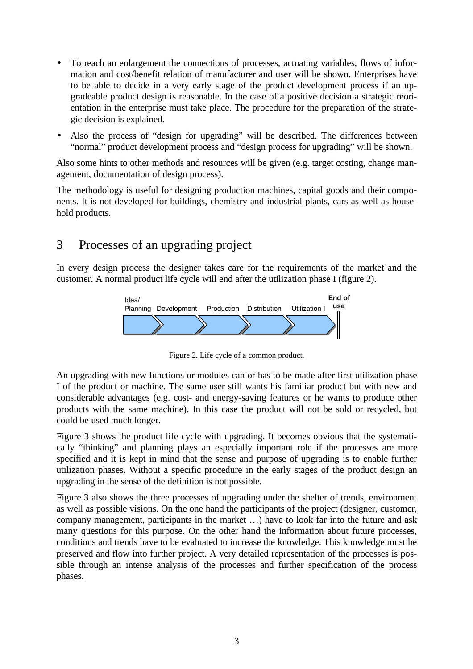- To reach an enlargement the connections of processes, actuating variables, flows of information and cost/benefit relation of manufacturer and user will be shown. Enterprises have to be able to decide in a very early stage of the product development process if an upgradeable product design is reasonable. In the case of a positive decision a strategic reorientation in the enterprise must take place. The procedure for the preparation of the strategic decision is explained.
- Also the process of "design for upgrading" will be described. The differences between "normal" product development process and "design process for upgrading" will be shown.

Also some hints to other methods and resources will be given (e.g. target costing, change management, documentation of design process).

The methodology is useful for designing production machines, capital goods and their components. It is not developed for buildings, chemistry and industrial plants, cars as well as household products.

# 3 Processes of an upgrading project

In every design process the designer takes care for the requirements of the market and the customer. A normal product life cycle will end after the utilization phase I (figure 2).



Figure 2. Life cycle of a common product.

An upgrading with new functions or modules can or has to be made after first utilization phase I of the product or machine. The same user still wants his familiar product but with new and considerable advantages (e.g. cost- and energy-saving features or he wants to produce other products with the same machine). In this case the product will not be sold or recycled, but could be used much longer.

Figure 3 shows the product life cycle with upgrading. It becomes obvious that the systematically "thinking" and planning plays an especially important role if the processes are more specified and it is kept in mind that the sense and purpose of upgrading is to enable further utilization phases. Without a specific procedure in the early stages of the product design an upgrading in the sense of the definition is not possible.

Figure 3 also shows the three processes of upgrading under the shelter of trends, environment as well as possible visions. On the one hand the participants of the project (designer, customer, company management, participants in the market …) have to look far into the future and ask many questions for this purpose. On the other hand the information about future processes, conditions and trends have to be evaluated to increase the knowledge. This knowledge must be preserved and flow into further project. A very detailed representation of the processes is possible through an intense analysis of the processes and further specification of the process phases.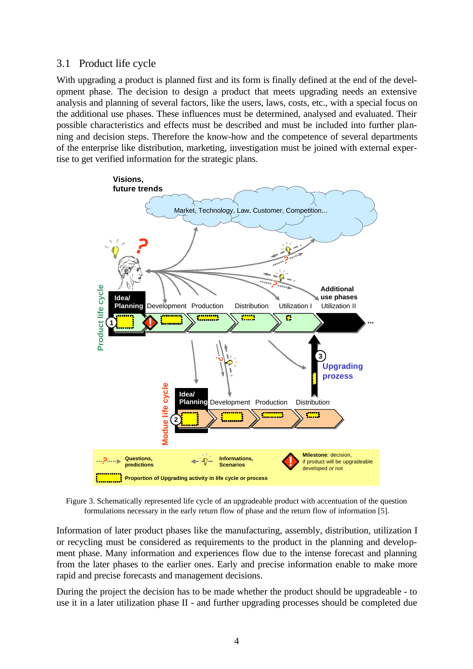#### 3.1 Product life cycle

With upgrading a product is planned first and its form is finally defined at the end of the development phase. The decision to design a product that meets upgrading needs an extensive analysis and planning of several factors, like the users, laws, costs, etc., with a special focus on the additional use phases. These influences must be determined, analysed and evaluated. Their possible characteristics and effects must be described and must be included into further planning and decision steps. Therefore the know-how and the competence of several departments of the enterprise like distribution, marketing, investigation must be joined with external expertise to get verified information for the strategic plans.



Figure 3. Schematically represented life cycle of an upgradeable product with accentuation of the question formulations necessary in the early return flow of phase and the return flow of information [5].

Information of later product phases like the manufacturing, assembly, distribution, utilization I or recycling must be considered as requirements to the product in the planning and development phase. Many information and experiences flow due to the intense forecast and planning from the later phases to the earlier ones. Early and precise information enable to make more rapid and precise forecasts and management decisions.

During the project the decision has to be made whether the product should be upgradeable - to use it in a later utilization phase II - and further upgrading processes should be completed due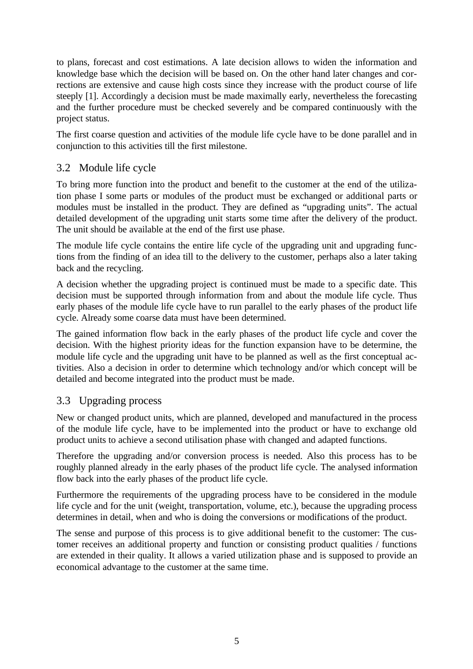to plans, forecast and cost estimations. A late decision allows to widen the information and knowledge base which the decision will be based on. On the other hand later changes and corrections are extensive and cause high costs since they increase with the product course of life steeply [1]. Accordingly a decision must be made maximally early, nevertheless the forecasting and the further procedure must be checked severely and be compared continuously with the project status.

The first coarse question and activities of the module life cycle have to be done parallel and in conjunction to this activities till the first milestone.

#### 3.2 Module life cycle

To bring more function into the product and benefit to the customer at the end of the utilization phase I some parts or modules of the product must be exchanged or additional parts or modules must be installed in the product. They are defined as "upgrading units". The actual detailed development of the upgrading unit starts some time after the delivery of the product. The unit should be available at the end of the first use phase.

The module life cycle contains the entire life cycle of the upgrading unit and upgrading functions from the finding of an idea till to the delivery to the customer, perhaps also a later taking back and the recycling.

A decision whether the upgrading project is continued must be made to a specific date. This decision must be supported through information from and about the module life cycle. Thus early phases of the module life cycle have to run parallel to the early phases of the product life cycle. Already some coarse data must have been determined.

The gained information flow back in the early phases of the product life cycle and cover the decision. With the highest priority ideas for the function expansion have to be determine, the module life cycle and the upgrading unit have to be planned as well as the first conceptual activities. Also a decision in order to determine which technology and/or which concept will be detailed and become integrated into the product must be made.

### 3.3 Upgrading process

New or changed product units, which are planned, developed and manufactured in the process of the module life cycle, have to be implemented into the product or have to exchange old product units to achieve a second utilisation phase with changed and adapted functions.

Therefore the upgrading and/or conversion process is needed. Also this process has to be roughly planned already in the early phases of the product life cycle. The analysed information flow back into the early phases of the product life cycle.

Furthermore the requirements of the upgrading process have to be considered in the module life cycle and for the unit (weight, transportation, volume, etc.), because the upgrading process determines in detail, when and who is doing the conversions or modifications of the product.

The sense and purpose of this process is to give additional benefit to the customer: The customer receives an additional property and function or consisting product qualities / functions are extended in their quality. It allows a varied utilization phase and is supposed to provide an economical advantage to the customer at the same time.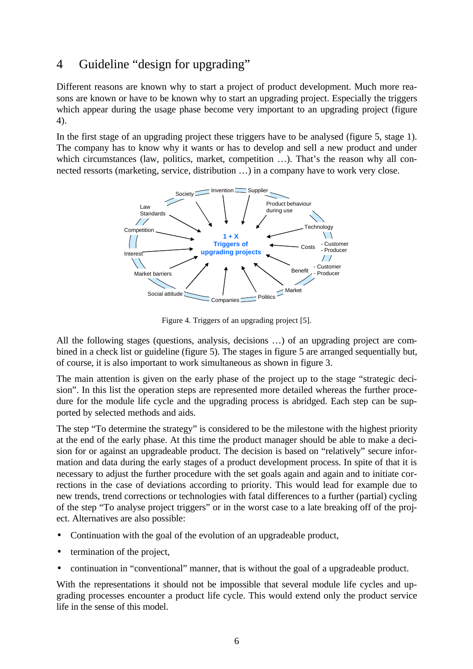## 4 Guideline "design for upgrading"

Different reasons are known why to start a project of product development. Much more reasons are known or have to be known why to start an upgrading project. Especially the triggers which appear during the usage phase become very important to an upgrading project (figure 4).

In the first stage of an upgrading project these triggers have to be analysed (figure 5, stage 1). The company has to know why it wants or has to develop and sell a new product and under which circumstances (law, politics, market, competition ...). That's the reason why all connected ressorts (marketing, service, distribution …) in a company have to work very close.



Figure 4. Triggers of an upgrading project [5].

All the following stages (questions, analysis, decisions …) of an upgrading project are combined in a check list or guideline (figure 5). The stages in figure 5 are arranged sequentially but, of course, it is also important to work simultaneous as shown in figure 3.

The main attention is given on the early phase of the project up to the stage "strategic decision". In this list the operation steps are represented more detailed whereas the further procedure for the module life cycle and the upgrading process is abridged. Each step can be supported by selected methods and aids.

The step "To determine the strategy" is considered to be the milestone with the highest priority at the end of the early phase. At this time the product manager should be able to make a decision for or against an upgradeable product. The decision is based on "relatively" secure information and data during the early stages of a product development process. In spite of that it is necessary to adjust the further procedure with the set goals again and again and to initiate corrections in the case of deviations according to priority. This would lead for example due to new trends, trend corrections or technologies with fatal differences to a further (partial) cycling of the step "To analyse project triggers" or in the worst case to a late breaking off of the project. Alternatives are also possible:

- Continuation with the goal of the evolution of an upgradeable product,
- termination of the project,
- continuation in "conventional" manner, that is without the goal of a upgradeable product.

With the representations it should not be impossible that several module life cycles and upgrading processes encounter a product life cycle. This would extend only the product service life in the sense of this model.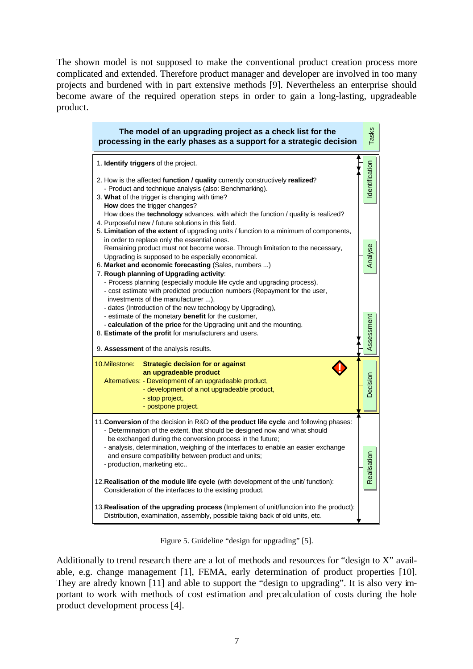The shown model is not supposed to make the conventional product creation process more complicated and extended. Therefore product manager and developer are involved in too many projects and burdened with in part extensive methods [9]. Nevertheless an enterprise should become aware of the required operation steps in order to gain a long-lasting, upgradeable product.

| The model of an upgrading project as a check list for the<br>processing in the early phases as a support for a strategic decision                                                                                                                                                                                                                                                                                                     | Tasks          |
|---------------------------------------------------------------------------------------------------------------------------------------------------------------------------------------------------------------------------------------------------------------------------------------------------------------------------------------------------------------------------------------------------------------------------------------|----------------|
| 1. Identify triggers of the project.                                                                                                                                                                                                                                                                                                                                                                                                  |                |
| 2. How is the affected function / quality currently constructively realized?<br>- Product and technique analysis (also: Benchmarking).<br>3. What of the trigger is changing with time?<br>How does the trigger changes?                                                                                                                                                                                                              | Identification |
| How does the technology advances, with which the function / quality is realized?<br>4. Purposeful new / future solutions in this field.<br>5. Limitation of the extent of upgrading units / function to a minimum of components,<br>in order to replace only the essential ones.                                                                                                                                                      |                |
| Remaining product must not become worse. Through limitation to the necessary,<br>Upgrading is supposed to be especially economical.<br>6. Market and economic forecasting (Sales, numbers )                                                                                                                                                                                                                                           | Analyse        |
| 7. Rough planning of Upgrading activity:<br>- Process planning (especially module life cycle and upgrading process),<br>- cost estimate with predicted production numbers (Repayment for the user,<br>investments of the manufacturer ),<br>- dates (Introduction of the new technology by Upgrading),<br>- estimate of the monetary benefit for the customer,<br>- calculation of the price for the Upgrading unit and the mounting. |                |
| 8. Estimate of the profit for manufacturers and users.<br>9. Assessment of the analysis results.                                                                                                                                                                                                                                                                                                                                      | Assessment     |
| 10.Milestone:<br><b>Strategic decision for or against</b><br>an upgradeable product<br>Alternatives: - Development of an upgradeable product,<br>- development of a not upgradeable product,<br>- stop project,<br>- postpone project.                                                                                                                                                                                                | Decision       |
| 11. Conversion of the decision in R&D of the product life cycle and following phases:<br>- Determination of the extent, that should be designed now and what should<br>be exchanged during the conversion process in the future;<br>- analysis, determination, weighing of the interfaces to enable an easier exchange<br>and ensure compatibility between product and units;<br>- production, marketing etc                          | Realisation    |
| 12. <b>Realisation of the module life cycle</b> (with development of the unit/ function):<br>Consideration of the interfaces to the existing product.                                                                                                                                                                                                                                                                                 |                |
| 13. Realisation of the upgrading process (Implement of unit/function into the product):<br>Distribution, examination, assembly, possible taking back of old units, etc.                                                                                                                                                                                                                                                               |                |

Figure 5. Guideline "design for upgrading" [5].

Additionally to trend research there are a lot of methods and resources for "design to X" available, e.g. change management [1], FEMA, early determination of product properties [10]. They are alredy known [11] and able to support the "design to upgrading". It is also very important to work with methods of cost estimation and precalculation of costs during the hole product development process [4].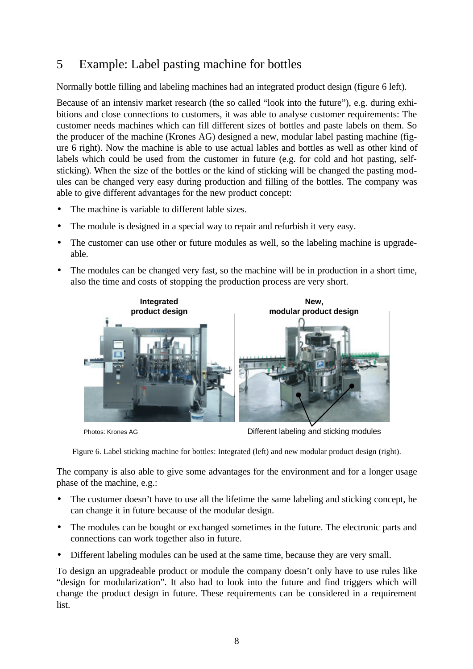# 5 Example: Label pasting machine for bottles

Normally bottle filling and labeling machines had an integrated product design (figure 6 left).

Because of an intensiv market research (the so called "look into the future"), e.g. during exhibitions and close connections to customers, it was able to analyse customer requirements: The customer needs machines which can fill different sizes of bottles and paste labels on them. So the producer of the machine (Krones AG) designed a new, modular label pasting machine (figure 6 right). Now the machine is able to use actual lables and bottles as well as other kind of labels which could be used from the customer in future (e.g. for cold and hot pasting, selfsticking). When the size of the bottles or the kind of sticking will be changed the pasting modules can be changed very easy during production and filling of the bottles. The company was able to give different advantages for the new product concept:

- The machine is variable to different lable sizes.
- The module is designed in a special way to repair and refurbish it very easy.
- The customer can use other or future modules as well, so the labeling machine is upgradeable.
- The modules can be changed very fast, so the machine will be in production in a short time, also the time and costs of stopping the production process are very short.



Photos: Krones AG **Different labeling and sticking modules** 

Figure 6. Label sticking machine for bottles: Integrated (left) and new modular product design (right).

The company is also able to give some advantages for the environment and for a longer usage phase of the machine, e.g.:

- The custumer doesn't have to use all the lifetime the same labeling and sticking concept, he can change it in future because of the modular design.
- The modules can be bought or exchanged sometimes in the future. The electronic parts and connections can work together also in future.
- Different labeling modules can be used at the same time, because they are very small.

To design an upgradeable product or module the company doesn't only have to use rules like "design for modularization". It also had to look into the future and find triggers which will change the product design in future. These requirements can be considered in a requirement list.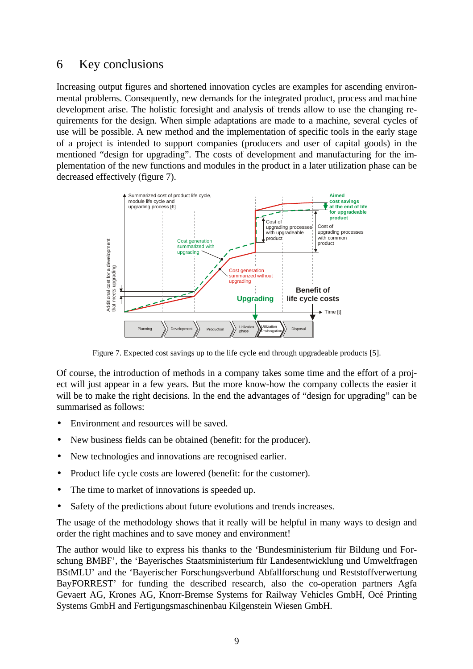### 6 Key conclusions

Increasing output figures and shortened innovation cycles are examples for ascending environmental problems. Consequently, new demands for the integrated product, process and machine development arise. The holistic foresight and analysis of trends allow to use the changing requirements for the design. When simple adaptations are made to a machine, several cycles of use will be possible. A new method and the implementation of specific tools in the early stage of a project is intended to support companies (producers and user of capital goods) in the mentioned "design for upgrading". The costs of development and manufacturing for the implementation of the new functions and modules in the product in a later utilization phase can be decreased effectively (figure 7).



Figure 7. Expected cost savings up to the life cycle end through upgradeable products [5].

Of course, the introduction of methods in a company takes some time and the effort of a project will just appear in a few years. But the more know-how the company collects the easier it will be to make the right decisions. In the end the advantages of "design for upgrading" can be summarised as follows:

- Environment and resources will be saved.
- New business fields can be obtained (benefit: for the producer).
- New technologies and innovations are recognised earlier.
- Product life cycle costs are lowered (benefit: for the customer).
- The time to market of innovations is speeded up.
- Safety of the predictions about future evolutions and trends increases.

The usage of the methodology shows that it really will be helpful in many ways to design and order the right machines and to save money and environment!

The author would like to express his thanks to the 'Bundesministerium für Bildung und Forschung BMBF', the 'Bayerisches Staatsministerium für Landesentwicklung und Umweltfragen BStMLU' and the 'Bayerischer Forschungsverbund Abfallforschung und Reststoffverwertung BayFORREST' for funding the described research, also the co-operation partners Agfa Gevaert AG, Krones AG, Knorr-Bremse Systems for Railway Vehicles GmbH, Océ Printing Systems GmbH and Fertigungsmaschinenbau Kilgenstein Wiesen GmbH.